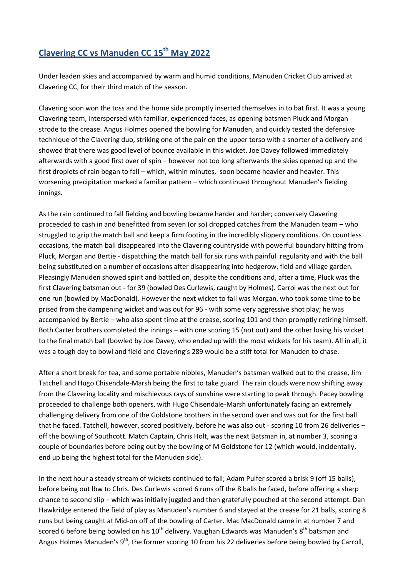## **Clavering CC vs Manuden CC 15th May 2022**

Under leaden skies and accompanied by warm and humid conditions, Manuden Cricket Club arrived at Clavering CC, for their third match of the season.

Clavering soon won the toss and the home side promptly inserted themselves in to bat first. It was a young Clavering team, interspersed with familiar, experienced faces, as opening batsmen Pluck and Morgan strode to the crease. Angus Holmes opened the bowling for Manuden, and quickly tested the defensive technique of the Clavering duo, striking one of the pair on the upper torso with a snorter of a delivery and showed that there was good level of bounce available in this wicket. Joe Davey followed immediately afterwards with a good first over of spin – however not too long afterwards the skies opened up and the first droplets of rain began to fall – which, within minutes, soon became heavier and heavier. This worsening precipitation marked a familiar pattern – which continued throughout Manuden's fielding innings.

As the rain continued to fall fielding and bowling became harder and harder; conversely Clavering proceeded to cash in and benefitted from seven (or so) dropped catches from the Manuden team – who struggled to grip the match ball and keep a firm footing in the incredibly slippery conditions. On countless occasions, the match ball disappeared into the Clavering countryside with powerful boundary hitting from Pluck, Morgan and Bertie - dispatching the match ball for six runs with painful regularity and with the ball being substituted on a number of occasions after disappearing into hedgerow, field and village garden. Pleasingly Manuden showed spirit and battled on, despite the conditions and, after a time, Pluck was the first Clavering batsman out - for 39 (bowled Des Curlewis, caught by Holmes). Carrol was the next out for one run (bowled by MacDonald). However the next wicket to fall was Morgan, who took some time to be prised from the dampening wicket and was out for 96 - with some very aggressive shot play; he was accompanied by Bertie – who also spent time at the crease, scoring 101 and then promptly retiring himself. Both Carter brothers completed the innings – with one scoring 15 (not out) and the other losing his wicket to the final match ball (bowled by Joe Davey, who ended up with the most wickets for his team). All in all, it was a tough day to bowl and field and Clavering's 289 would be a stiff total for Manuden to chase.

After a short break for tea, and some portable nibbles, Manuden's batsman walked out to the crease, Jim Tatchell and Hugo Chisendale-Marsh being the first to take guard. The rain clouds were now shifting away from the Clavering locality and mischievous rays of sunshine were starting to peak through. Pacey bowling proceeded to challenge both openers, with Hugo Chisendale-Marsh unfortunately facing an extremely challenging delivery from one of the Goldstone brothers in the second over and was out for the first ball that he faced. Tatchell, however, scored positively, before he was also out - scoring 10 from 26 deliveries – off the bowling of Southcott. Match Captain, Chris Holt, was the next Batsman in, at number 3, scoring a couple of boundaries before being out by the bowling of M Goldstone for 12 (which would, incidentally, end up being the highest total for the Manuden side).

In the next hour a steady stream of wickets continued to fall; Adam Pulfer scored a brisk 9 (off 15 balls), before being out lbw to Chris. Des Curlewis scored 6 runs off the 8 balls he faced, before offering a sharp chance to second slip – which was initially juggled and then gratefully pouched at the second attempt. Dan Hawkridge entered the field of play as Manuden's number 6 and stayed at the crease for 21 balls, scoring 8 runs but being caught at Mid-on off of the bowling of Carter. Mac MacDonald came in at number 7 and scored 6 before being bowled on his  $10^{th}$  delivery. Vaughan Edwards was Manuden's  $8^{th}$  batsman and Angus Holmes Manuden's 9<sup>th</sup>, the former scoring 10 from his 22 deliveries before being bowled by Carroll,